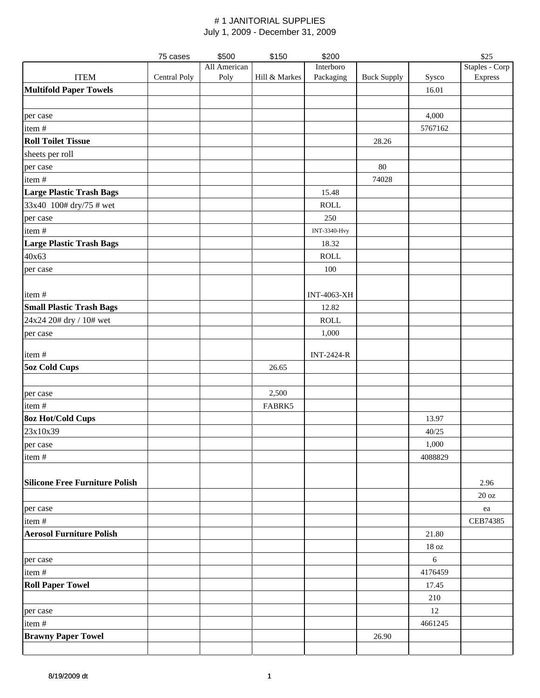|                                       | 75 cases     | \$500        | \$150         | \$200              |                    |                   | \$25              |
|---------------------------------------|--------------|--------------|---------------|--------------------|--------------------|-------------------|-------------------|
|                                       |              | All American |               | Interboro          |                    |                   | Staples - Corp    |
| <b>ITEM</b>                           | Central Poly | Poly         | Hill & Markes | Packaging          | <b>Buck Supply</b> | Sysco             | Express           |
| <b>Multifold Paper Towels</b>         |              |              |               |                    |                    | 16.01             |                   |
|                                       |              |              |               |                    |                    |                   |                   |
| per case                              |              |              |               |                    |                    | 4,000             |                   |
| item#                                 |              |              |               |                    |                    | 5767162           |                   |
| <b>Roll Toilet Tissue</b>             |              |              |               |                    | 28.26              |                   |                   |
| sheets per roll                       |              |              |               |                    |                    |                   |                   |
| per case                              |              |              |               |                    | 80                 |                   |                   |
| item#                                 |              |              |               |                    | 74028              |                   |                   |
| <b>Large Plastic Trash Bags</b>       |              |              |               | 15.48              |                    |                   |                   |
| 33x40 100# dry/75 # wet               |              |              |               | <b>ROLL</b>        |                    |                   |                   |
| per case                              |              |              |               | 250                |                    |                   |                   |
| item#                                 |              |              |               | INT-3340-Hvy       |                    |                   |                   |
| <b>Large Plastic Trash Bags</b>       |              |              |               | 18.32              |                    |                   |                   |
| 40x63                                 |              |              |               | <b>ROLL</b>        |                    |                   |                   |
| per case                              |              |              |               | 100                |                    |                   |                   |
|                                       |              |              |               |                    |                    |                   |                   |
| item#                                 |              |              |               | <b>INT-4063-XH</b> |                    |                   |                   |
| <b>Small Plastic Trash Bags</b>       |              |              |               | 12.82              |                    |                   |                   |
| 24x24 20# dry / 10# wet               |              |              |               | <b>ROLL</b>        |                    |                   |                   |
| per case                              |              |              |               | 1,000              |                    |                   |                   |
|                                       |              |              |               |                    |                    |                   |                   |
| item#                                 |              |              |               | <b>INT-2424-R</b>  |                    |                   |                   |
| <b>5oz Cold Cups</b>                  |              |              | 26.65         |                    |                    |                   |                   |
|                                       |              |              |               |                    |                    |                   |                   |
| per case                              |              |              | 2,500         |                    |                    |                   |                   |
| item #                                |              |              | FABRK5        |                    |                    |                   |                   |
| <b>8oz Hot/Cold Cups</b>              |              |              |               |                    |                    | 13.97             |                   |
| 23x10x39                              |              |              |               |                    |                    | 40/25             |                   |
| per case                              |              |              |               |                    |                    | 1,000             |                   |
| item #                                |              |              |               |                    |                    | 4088829           |                   |
|                                       |              |              |               |                    |                    |                   |                   |
| <b>Silicone Free Furniture Polish</b> |              |              |               |                    |                    |                   | 2.96              |
|                                       |              |              |               |                    |                    |                   | $20\ \mathrm{oz}$ |
| per case                              |              |              |               |                    |                    |                   | ea                |
| item#                                 |              |              |               |                    |                    |                   | CEB74385          |
| <b>Aerosol Furniture Polish</b>       |              |              |               |                    |                    | 21.80             |                   |
|                                       |              |              |               |                    |                    | $18\,\mathrm{oz}$ |                   |
|                                       |              |              |               |                    |                    | 6                 |                   |
| per case<br>item#                     |              |              |               |                    |                    | 4176459           |                   |
|                                       |              |              |               |                    |                    |                   |                   |
| <b>Roll Paper Towel</b>               |              |              |               |                    |                    | 17.45             |                   |
|                                       |              |              |               |                    |                    | 210               |                   |
| per case                              |              |              |               |                    |                    | 12                |                   |
| item#                                 |              |              |               |                    |                    | 4661245           |                   |
| <b>Brawny Paper Towel</b>             |              |              |               |                    | 26.90              |                   |                   |
|                                       |              |              |               |                    |                    |                   |                   |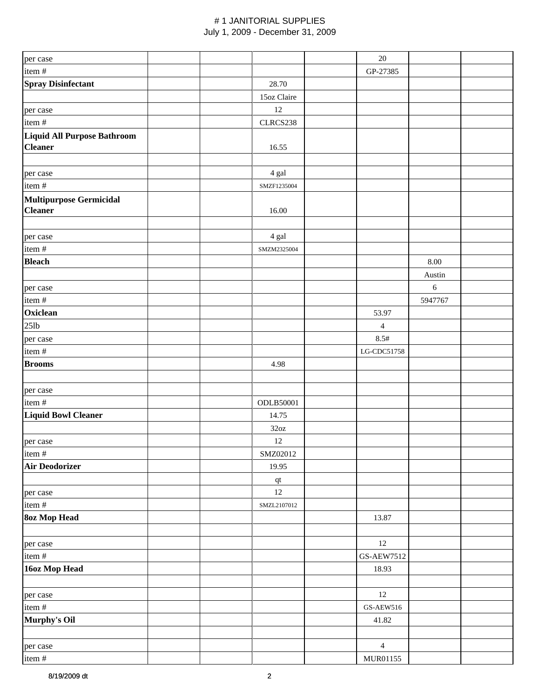| per case                           |                                                   | $20\,$         |            |  |
|------------------------------------|---------------------------------------------------|----------------|------------|--|
| item #                             |                                                   | GP-27385       |            |  |
| <b>Spray Disinfectant</b>          | 28.70                                             |                |            |  |
|                                    | 15oz Claire                                       |                |            |  |
| per case                           | 12                                                |                |            |  |
| item #                             | CLRCS238                                          |                |            |  |
| <b>Liquid All Purpose Bathroom</b> |                                                   |                |            |  |
| <b>Cleaner</b>                     | 16.55                                             |                |            |  |
|                                    |                                                   |                |            |  |
| per case                           | 4 gal                                             |                |            |  |
| item #                             | SMZF1235004                                       |                |            |  |
| <b>Multipurpose Germicidal</b>     |                                                   |                |            |  |
| <b>Cleaner</b>                     | 16.00                                             |                |            |  |
|                                    |                                                   |                |            |  |
| per case                           | 4 gal                                             |                |            |  |
| item#                              | SMZM2325004                                       |                |            |  |
| <b>Bleach</b>                      |                                                   |                | 8.00       |  |
|                                    |                                                   |                | Austin     |  |
|                                    |                                                   |                | $\sqrt{6}$ |  |
| per case                           |                                                   |                | 5947767    |  |
| item#<br>Oxiclean                  |                                                   |                |            |  |
|                                    |                                                   | 53.97          |            |  |
| $25$ lb                            |                                                   | $\overline{4}$ |            |  |
| per case                           |                                                   | 8.5#           |            |  |
| item#                              |                                                   | LG-CDC51758    |            |  |
| <b>Brooms</b>                      | 4.98                                              |                |            |  |
|                                    |                                                   |                |            |  |
| per case                           |                                                   |                |            |  |
| item#                              | <b>ODLB50001</b>                                  |                |            |  |
| <b>Liquid Bowl Cleaner</b>         | 14.75                                             |                |            |  |
|                                    | 32oz                                              |                |            |  |
| per case                           | 12                                                |                |            |  |
| item #                             | SMZ02012                                          |                |            |  |
| <b>Air Deodorizer</b>              | 19.95                                             |                |            |  |
|                                    | $\hspace{0.1em}\rule{0.7pt}{0.8em}\hspace{0.1em}$ |                |            |  |
| per case                           | $12\,$                                            |                |            |  |
| item #                             | SMZL2107012                                       |                |            |  |
| <b>80z Mop Head</b>                |                                                   | 13.87          |            |  |
|                                    |                                                   |                |            |  |
| per case                           |                                                   | 12             |            |  |
| item #                             |                                                   | GS-AEW7512     |            |  |
| 16oz Mop Head                      |                                                   | 18.93          |            |  |
|                                    |                                                   |                |            |  |
| per case                           |                                                   | 12             |            |  |
| item #                             |                                                   | $GS-AEW516$    |            |  |
| Murphy's Oil                       |                                                   | 41.82          |            |  |
|                                    |                                                   |                |            |  |
| per case                           |                                                   | $\overline{4}$ |            |  |
| item#                              |                                                   | MUR01155       |            |  |
|                                    |                                                   |                |            |  |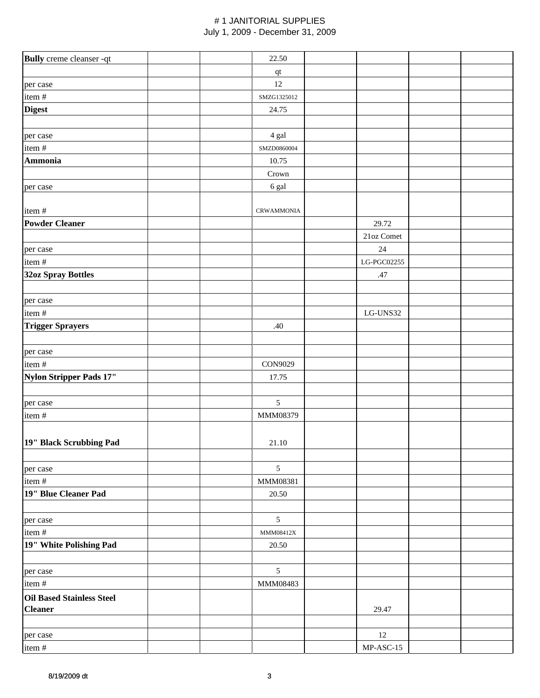| Bully creme cleanser -qt         | 22.50             |                          |  |
|----------------------------------|-------------------|--------------------------|--|
|                                  | $\bf qt$          |                          |  |
| per case                         | $12\,$            |                          |  |
| item#                            | SMZG1325012       |                          |  |
| <b>Digest</b>                    | 24.75             |                          |  |
|                                  |                   |                          |  |
| per case                         | 4 gal             |                          |  |
| item#                            | SMZD0860004       |                          |  |
| <b>Ammonia</b>                   | 10.75             |                          |  |
|                                  | Crown             |                          |  |
| per case                         | 6 gal             |                          |  |
|                                  |                   |                          |  |
| item#                            | <b>CRWAMMONIA</b> |                          |  |
| <b>Powder Cleaner</b>            |                   | 29.72                    |  |
|                                  |                   | 21oz Comet               |  |
| per case                         |                   | 24                       |  |
| item#                            |                   | LG-PGC02255              |  |
| 32oz Spray Bottles               |                   | .47                      |  |
|                                  |                   |                          |  |
| per case<br>item #               |                   | $_{\rm LG\text{-}UNS32}$ |  |
| <b>Trigger Sprayers</b>          | .40               |                          |  |
|                                  |                   |                          |  |
| per case                         |                   |                          |  |
| item #                           | CON9029           |                          |  |
| Nylon Stripper Pads 17"          | 17.75             |                          |  |
|                                  |                   |                          |  |
| per case                         | 5                 |                          |  |
| item#                            | MMM08379          |                          |  |
|                                  |                   |                          |  |
| 19" Black Scrubbing Pad          | 21.10             |                          |  |
|                                  |                   |                          |  |
| per case                         | $\mathfrak{S}$    |                          |  |
| item#                            | MMM08381          |                          |  |
| 19" Blue Cleaner Pad             | 20.50             |                          |  |
|                                  |                   |                          |  |
| per case                         | $\mathfrak{S}$    |                          |  |
| item#                            | MMM08412X         |                          |  |
| 19" White Polishing Pad          | 20.50             |                          |  |
|                                  |                   |                          |  |
| per case                         | 5                 |                          |  |
| item #                           | MMM08483          |                          |  |
| <b>Oil Based Stainless Steel</b> |                   |                          |  |
| <b>Cleaner</b>                   |                   | 29.47                    |  |
|                                  |                   |                          |  |
| per case                         |                   | 12                       |  |
| item#                            |                   | $MP-ASC-15$              |  |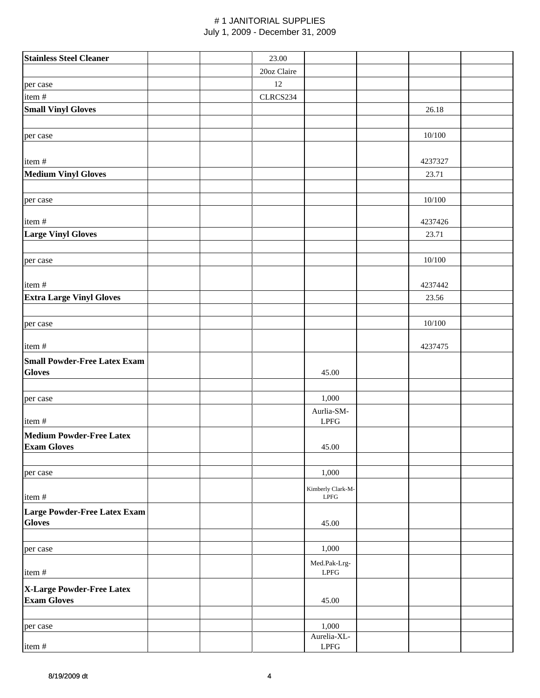| <b>Stainless Steel Cleaner</b>                        | 23.00       |                                                   |         |  |
|-------------------------------------------------------|-------------|---------------------------------------------------|---------|--|
|                                                       | 20oz Claire |                                                   |         |  |
| per case                                              | $12\,$      |                                                   |         |  |
| item#                                                 | CLRCS234    |                                                   |         |  |
| <b>Small Vinyl Gloves</b>                             |             |                                                   | 26.18   |  |
|                                                       |             |                                                   |         |  |
| per case                                              |             |                                                   | 10/100  |  |
| item#                                                 |             |                                                   | 4237327 |  |
| <b>Medium Vinyl Gloves</b>                            |             |                                                   | 23.71   |  |
|                                                       |             |                                                   |         |  |
| per case                                              |             |                                                   | 10/100  |  |
| item#                                                 |             |                                                   | 4237426 |  |
| <b>Large Vinyl Gloves</b>                             |             |                                                   | 23.71   |  |
| per case                                              |             |                                                   | 10/100  |  |
|                                                       |             |                                                   |         |  |
| item#                                                 |             |                                                   | 4237442 |  |
| <b>Extra Large Vinyl Gloves</b>                       |             |                                                   | 23.56   |  |
|                                                       |             |                                                   |         |  |
| per case                                              |             |                                                   | 10/100  |  |
| item#                                                 |             |                                                   | 4237475 |  |
| <b>Small Powder-Free Latex Exam</b><br><b>Gloves</b>  |             | 45.00                                             |         |  |
| per case                                              |             | 1,000                                             |         |  |
| item#                                                 |             | Aurlia-SM-<br>LPFG                                |         |  |
| <b>Medium Powder-Free Latex</b><br><b>Exam Gloves</b> |             | 45.00                                             |         |  |
|                                                       |             |                                                   |         |  |
| per case                                              |             | 1,000                                             |         |  |
| item#                                                 |             | Kimberly Clark-M-<br>$\ensuremath{\mathrm{LPFG}}$ |         |  |
| Large Powder-Free Latex Exam<br><b>Gloves</b>         |             | 45.00                                             |         |  |
|                                                       |             |                                                   |         |  |
| per case                                              |             | 1,000                                             |         |  |
| item#                                                 |             | Med.Pak-Lrg-<br>$\ensuremath{\mathrm{LPFG}}$      |         |  |
|                                                       |             |                                                   |         |  |
| X-Large Powder-Free Latex<br><b>Exam Gloves</b>       |             | 45.00                                             |         |  |
|                                                       |             |                                                   |         |  |
| per case                                              |             | 1,000                                             |         |  |
| item#                                                 |             | Aurelia-XL-<br>$\ensuremath{\mathrm{LPFG}}$       |         |  |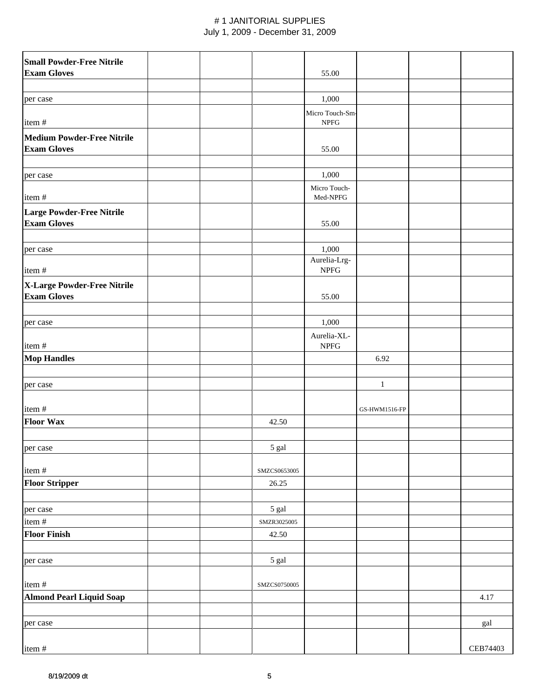| <b>Small Powder-Free Nitrile</b>  |  |              |                                 |               |          |
|-----------------------------------|--|--------------|---------------------------------|---------------|----------|
| <b>Exam Gloves</b>                |  |              | 55.00                           |               |          |
|                                   |  |              |                                 |               |          |
| per case                          |  |              | 1,000                           |               |          |
| item#                             |  |              | Micro Touch-Sm-<br>${\rm NPEG}$ |               |          |
| <b>Medium Powder-Free Nitrile</b> |  |              |                                 |               |          |
| <b>Exam Gloves</b>                |  |              | 55.00                           |               |          |
|                                   |  |              |                                 |               |          |
|                                   |  |              |                                 |               |          |
| per case                          |  |              | 1,000                           |               |          |
| item#                             |  |              | Micro Touch-<br>Med-NPFG        |               |          |
| Large Powder-Free Nitrile         |  |              |                                 |               |          |
| <b>Exam Gloves</b>                |  |              | 55.00                           |               |          |
|                                   |  |              |                                 |               |          |
| per case                          |  |              | 1,000                           |               |          |
|                                   |  |              | Aurelia-Lrg-                    |               |          |
| item#                             |  |              | <b>NPFG</b>                     |               |          |
| X-Large Powder-Free Nitrile       |  |              |                                 |               |          |
| <b>Exam Gloves</b>                |  |              | 55.00                           |               |          |
|                                   |  |              |                                 |               |          |
|                                   |  |              | 1,000                           |               |          |
| per case                          |  |              |                                 |               |          |
|                                   |  |              | Aurelia-XL-                     |               |          |
| item#                             |  |              | <b>NPFG</b>                     |               |          |
| <b>Mop Handles</b>                |  |              |                                 | 6.92          |          |
|                                   |  |              |                                 |               |          |
| per case                          |  |              |                                 | $\mathbf{1}$  |          |
|                                   |  |              |                                 |               |          |
| item#                             |  |              |                                 | GS-HWM1516-FP |          |
| <b>Floor Wax</b>                  |  | 42.50        |                                 |               |          |
|                                   |  |              |                                 |               |          |
| per case                          |  | 5 gal        |                                 |               |          |
|                                   |  |              |                                 |               |          |
| item#                             |  | SMZCS0653005 |                                 |               |          |
| <b>Floor Stripper</b>             |  | 26.25        |                                 |               |          |
|                                   |  |              |                                 |               |          |
| per case                          |  | 5 gal        |                                 |               |          |
| item#                             |  | SMZR3025005  |                                 |               |          |
|                                   |  |              |                                 |               |          |
| <b>Floor Finish</b>               |  | 42.50        |                                 |               |          |
|                                   |  |              |                                 |               |          |
| per case                          |  | 5 gal        |                                 |               |          |
|                                   |  |              |                                 |               |          |
| item#                             |  | SMZCS0750005 |                                 |               |          |
| Almond Pearl Liquid Soap          |  |              |                                 |               | 4.17     |
|                                   |  |              |                                 |               |          |
| per case                          |  |              |                                 |               | gal      |
|                                   |  |              |                                 |               |          |
| item#                             |  |              |                                 |               | CEB74403 |
|                                   |  |              |                                 |               |          |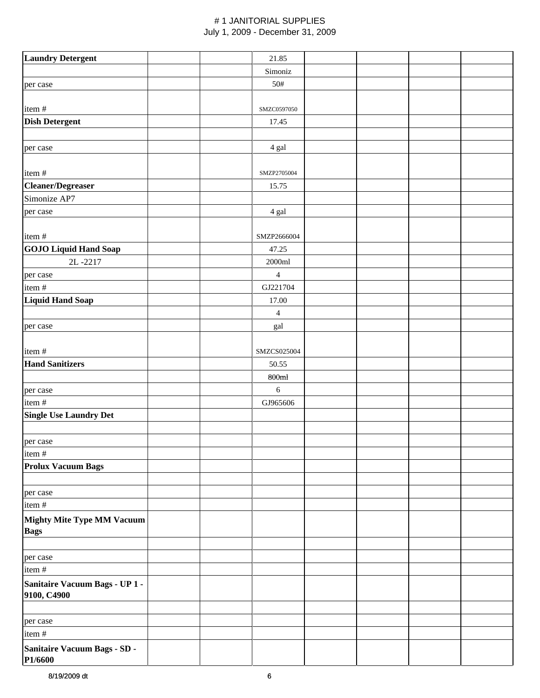| <b>Laundry Detergent</b>                         |  | 21.85                       |  |  |
|--------------------------------------------------|--|-----------------------------|--|--|
|                                                  |  | Simoniz                     |  |  |
| per case                                         |  | 50#                         |  |  |
|                                                  |  |                             |  |  |
| item#                                            |  | SMZC0597050                 |  |  |
| <b>Dish Detergent</b>                            |  | 17.45                       |  |  |
|                                                  |  |                             |  |  |
| per case                                         |  | 4 gal                       |  |  |
| item#                                            |  | SMZP2705004                 |  |  |
| <b>Cleaner/Degreaser</b>                         |  | 15.75                       |  |  |
| Simonize AP7                                     |  |                             |  |  |
| per case                                         |  | 4 gal                       |  |  |
|                                                  |  |                             |  |  |
| item#                                            |  | SMZP2666004                 |  |  |
| <b>GOJO Liquid Hand Soap</b>                     |  | 47.25                       |  |  |
| 2L-2217                                          |  | 2000ml                      |  |  |
| per case                                         |  | $\overline{4}$              |  |  |
| item #                                           |  | GJ221704                    |  |  |
| <b>Liquid Hand Soap</b>                          |  | 17.00                       |  |  |
|                                                  |  | $\overline{4}$              |  |  |
| per case                                         |  | $\ensuremath{\mathsf{gal}}$ |  |  |
| item#                                            |  | SMZCS025004                 |  |  |
| <b>Hand Sanitizers</b>                           |  | 50.55                       |  |  |
|                                                  |  | 800ml                       |  |  |
| per case                                         |  | $6\,$                       |  |  |
| item #                                           |  | GJ965606                    |  |  |
| <b>Single Use Laundry Det</b>                    |  |                             |  |  |
|                                                  |  |                             |  |  |
| per case                                         |  |                             |  |  |
| item#                                            |  |                             |  |  |
| <b>Prolux Vacuum Bags</b>                        |  |                             |  |  |
|                                                  |  |                             |  |  |
| per case                                         |  |                             |  |  |
| item#                                            |  |                             |  |  |
| <b>Mighty Mite Type MM Vacuum</b><br><b>Bags</b> |  |                             |  |  |
| per case                                         |  |                             |  |  |
| item #                                           |  |                             |  |  |
| Sanitaire Vacuum Bags - UP 1 -<br>9100, C4900    |  |                             |  |  |
| per case                                         |  |                             |  |  |
| item#                                            |  |                             |  |  |
| Sanitaire Vacuum Bags - SD -                     |  |                             |  |  |
| P1/6600                                          |  |                             |  |  |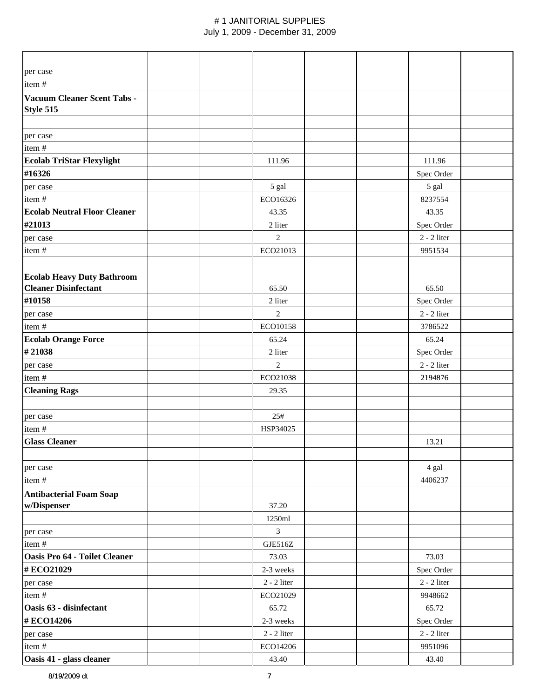| per case                            |               |               |
|-------------------------------------|---------------|---------------|
| item#                               |               |               |
| Vacuum Cleaner Scent Tabs -         |               |               |
| Style 515                           |               |               |
|                                     |               |               |
| per case                            |               |               |
| item#                               |               |               |
| <b>Ecolab TriStar Flexylight</b>    | 111.96        | 111.96        |
| #16326                              |               | Spec Order    |
| per case                            | 5 gal         | 5 gal         |
| item#                               | ECO16326      | 8237554       |
| <b>Ecolab Neutral Floor Cleaner</b> | 43.35         | 43.35         |
| #21013                              | 2 liter       | Spec Order    |
| per case                            | 2             | $2 - 2$ liter |
| item#                               | ECO21013      | 9951534       |
|                                     |               |               |
| <b>Ecolab Heavy Duty Bathroom</b>   |               |               |
| <b>Cleaner Disinfectant</b>         | 65.50         | 65.50         |
| #10158                              | 2 liter       | Spec Order    |
| per case                            | $\mathbf{2}$  | $2 - 2$ liter |
| item#                               | ECO10158      | 3786522       |
| <b>Ecolab Orange Force</b>          | 65.24         | 65.24         |
| #21038                              | 2 liter       | Spec Order    |
| per case                            | $\mathbf{2}$  | $2 - 2$ liter |
| item#                               | ECO21038      | 2194876       |
| <b>Cleaning Rags</b>                | 29.35         |               |
|                                     |               |               |
| per case                            | 25#           |               |
| item#                               | HSP34025      |               |
| <b>Glass Cleaner</b>                |               | 13.21         |
|                                     |               |               |
| per case                            |               | 4 gal         |
| item#                               |               | 4406237       |
| <b>Antibacterial Foam Soap</b>      |               |               |
| w/Dispenser                         | 37.20         |               |
|                                     | 1250ml        |               |
| per case                            | 3             |               |
| item#                               | GJE516Z       |               |
| Oasis Pro 64 - Toilet Cleaner       | 73.03         | 73.03         |
| #ECO21029                           | 2-3 weeks     | Spec Order    |
| per case                            | $2 - 2$ liter | $2 - 2$ liter |
| item#                               | ECO21029      | 9948662       |
| Oasis 63 - disinfectant             | 65.72         | 65.72         |
| #ECO14206                           | 2-3 weeks     | Spec Order    |
| per case                            | $2 - 2$ liter | $2 - 2$ liter |
| item#                               | ECO14206      | 9951096       |
| Oasis 41 - glass cleaner            | 43.40         | 43.40         |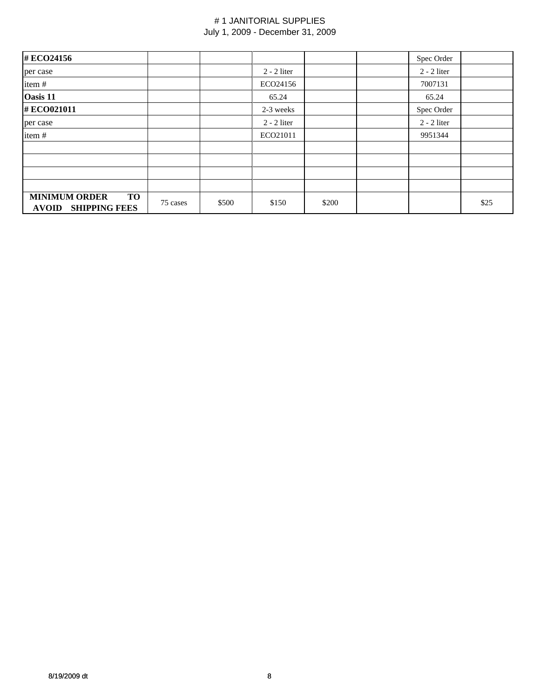| #ECO24156                                                          |          |       |               |       | Spec Order    |      |
|--------------------------------------------------------------------|----------|-------|---------------|-------|---------------|------|
| per case                                                           |          |       | $2 - 2$ liter |       | $2 - 2$ liter |      |
| item#                                                              |          |       | ECO24156      |       | 7007131       |      |
| Oasis 11                                                           |          |       | 65.24         |       | 65.24         |      |
| #ECO021011                                                         |          |       | 2-3 weeks     |       | Spec Order    |      |
| per case                                                           |          |       | $2 - 2$ liter |       | $2 - 2$ liter |      |
| item#                                                              |          |       | ECO21011      |       | 9951344       |      |
|                                                                    |          |       |               |       |               |      |
|                                                                    |          |       |               |       |               |      |
|                                                                    |          |       |               |       |               |      |
|                                                                    |          |       |               |       |               |      |
| <b>MINIMUM ORDER</b><br>TO<br><b>SHIPPING FEES</b><br><b>AVOID</b> | 75 cases | \$500 | \$150         | \$200 |               | \$25 |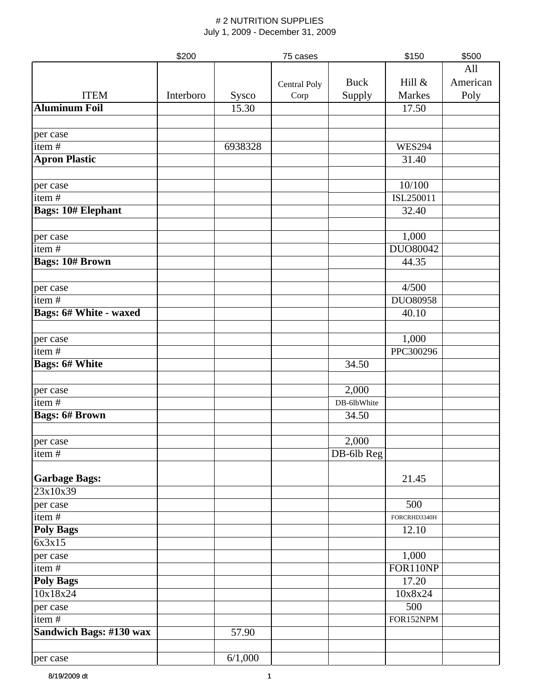|                               | \$200     |         | 75 cases     |             | \$150         | \$500    |
|-------------------------------|-----------|---------|--------------|-------------|---------------|----------|
|                               |           |         |              |             |               | All      |
|                               |           |         | Central Poly | <b>Buck</b> | Hill &        | American |
| <b>ITEM</b>                   | Interboro | Sysco   | Corp         | Supply      | Markes        | Poly     |
| <b>Aluminum Foil</b>          |           | 15.30   |              |             | 17.50         |          |
|                               |           |         |              |             |               |          |
|                               |           |         |              |             |               |          |
| per case<br>item#             |           | 6938328 |              |             |               |          |
|                               |           |         |              |             | <b>WES294</b> |          |
| <b>Apron Plastic</b>          |           |         |              |             | 31.40         |          |
|                               |           |         |              |             |               |          |
| per case                      |           |         |              |             | 10/100        |          |
| item $#$                      |           |         |              |             | ISL250011     |          |
| <b>Bags: 10# Elephant</b>     |           |         |              |             | 32.40         |          |
|                               |           |         |              |             |               |          |
| per case                      |           |         |              |             | 1,000         |          |
| item#                         |           |         |              |             | DU080042      |          |
| <b>Bags: 10# Brown</b>        |           |         |              |             | 44.35         |          |
|                               |           |         |              |             |               |          |
| per case                      |           |         |              |             | 4/500         |          |
| item $\frac{1}{4}$            |           |         |              |             | DUO80958      |          |
| <b>Bags: 6# White - waxed</b> |           |         |              |             | 40.10         |          |
|                               |           |         |              |             |               |          |
| per case                      |           |         |              |             | 1,000         |          |
| item $\frac{1}{4}$            |           |         |              |             | PPC300296     |          |
| <b>Bags: 6# White</b>         |           |         |              | 34.50       |               |          |
|                               |           |         |              |             |               |          |
| per case                      |           |         |              | 2,000       |               |          |
| item#                         |           |         |              | DB-6lbWhite |               |          |
| <b>Bags: 6# Brown</b>         |           |         |              | 34.50       |               |          |
|                               |           |         |              |             |               |          |
|                               |           |         |              | 2,000       |               |          |
| per case                      |           |         |              |             |               |          |
| item#                         |           |         |              | DB-6lb Reg  |               |          |
|                               |           |         |              |             | 21.45         |          |
| <b>Garbage Bags:</b>          |           |         |              |             |               |          |
| 23x10x39                      |           |         |              |             |               |          |
| per case                      |           |         |              |             | 500           |          |
| item#                         |           |         |              |             | FORCRHD3340H  |          |
| <b>Poly Bags</b>              |           |         |              |             | 12.10         |          |
| 6x3x15                        |           |         |              |             |               |          |
| per case                      |           |         |              |             | 1,000         |          |
| item#                         |           |         |              |             | FOR110NP      |          |
| <b>Poly Bags</b>              |           |         |              |             | 17.20         |          |
| 10x18x24                      |           |         |              |             | 10x8x24       |          |
| per case                      |           |         |              |             | 500           |          |
| item $\frac{1}{t}$            |           |         |              |             | FOR152NPM     |          |
| Sandwich Bags: #130 wax       |           | 57.90   |              |             |               |          |
|                               |           |         |              |             |               |          |
| per case                      |           | 6/1,000 |              |             |               |          |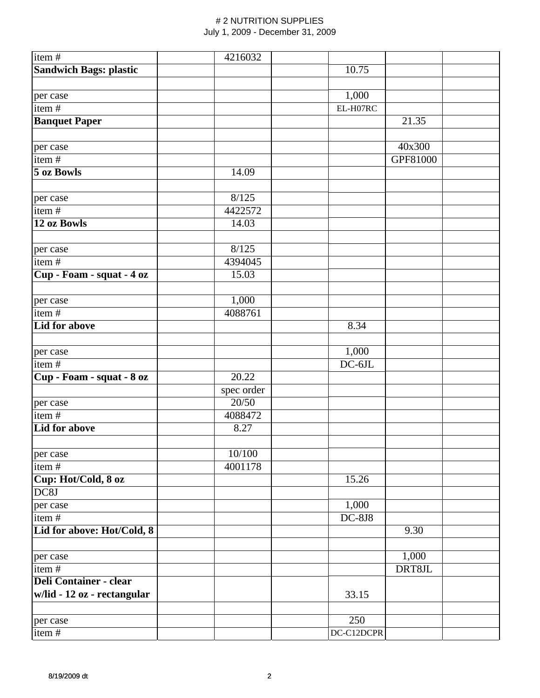| item $#$                      | 4216032    |            |          |  |
|-------------------------------|------------|------------|----------|--|
| <b>Sandwich Bags: plastic</b> |            | 10.75      |          |  |
|                               |            |            |          |  |
| per case                      |            | 1,000      |          |  |
| item#                         |            | EL-H07RC   |          |  |
| <b>Banquet Paper</b>          |            |            | 21.35    |  |
|                               |            |            |          |  |
| per case                      |            |            | 40x300   |  |
| item $\frac{1}{t}$            |            |            | GPF81000 |  |
| <b>5 oz Bowls</b>             | 14.09      |            |          |  |
|                               |            |            |          |  |
| per case                      | 8/125      |            |          |  |
| item#                         | 4422572    |            |          |  |
| 12 oz Bowls                   | 14.03      |            |          |  |
|                               |            |            |          |  |
| per case                      | 8/125      |            |          |  |
| item#                         | 4394045    |            |          |  |
| Cup - Foam - squat - 4 oz     | 15.03      |            |          |  |
|                               |            |            |          |  |
| per case                      | 1,000      |            |          |  |
| item#                         | 4088761    |            |          |  |
| Lid for above                 |            | 8.34       |          |  |
|                               |            |            |          |  |
| per case                      |            | 1,000      |          |  |
| item#                         |            | $DC-6JL$   |          |  |
| Cup - Foam - squat - 8 oz     | 20.22      |            |          |  |
|                               | spec order |            |          |  |
| per case                      | 20/50      |            |          |  |
| item#                         | 4088472    |            |          |  |
| Lid for above                 | 8.27       |            |          |  |
|                               |            |            |          |  |
| per case                      | 10/100     |            |          |  |
| item $\frac{1}{t}$            | 4001178    |            |          |  |
| Cup: Hot/Cold, 8 oz           |            | 15.26      |          |  |
| DC8J                          |            |            |          |  |
| per case                      |            | 1,000      |          |  |
| item#                         |            | $DC-8J8$   |          |  |
| Lid for above: Hot/Cold, 8    |            |            | 9.30     |  |
|                               |            |            |          |  |
| per case                      |            |            | 1,000    |  |
| item#                         |            |            | DRT8JL   |  |
| <b>Deli Container - clear</b> |            |            |          |  |
| w/lid - 12 oz - rectangular   |            | 33.15      |          |  |
|                               |            |            |          |  |
| per case                      |            | 250        |          |  |
| item#                         |            | DC-C12DCPR |          |  |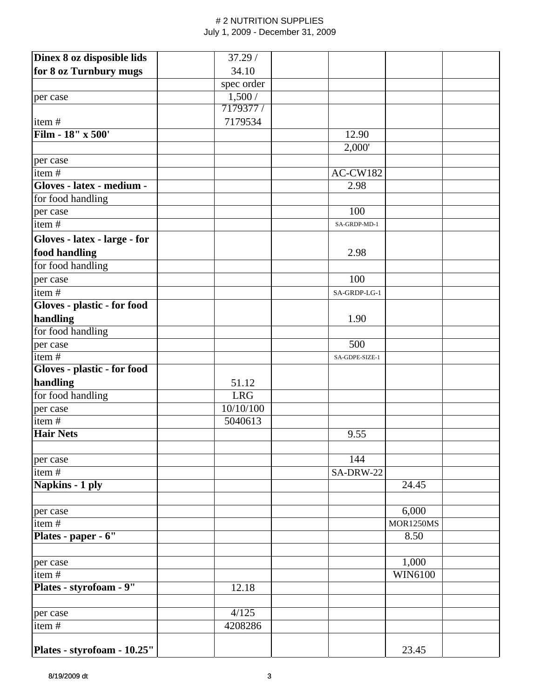| Dinex 8 oz disposible lids   | 37.29/     |                |                  |  |
|------------------------------|------------|----------------|------------------|--|
| for 8 oz Turnbury mugs       | 34.10      |                |                  |  |
|                              | spec order |                |                  |  |
| per case                     | 1,500/     |                |                  |  |
|                              | 7179377 /  |                |                  |  |
| item#                        | 7179534    |                |                  |  |
| Film - 18" x 500'            |            | 12.90          |                  |  |
|                              |            | 2,000'         |                  |  |
| per case                     |            |                |                  |  |
| item#                        |            | AC-CW182       |                  |  |
| Gloves - latex - medium -    |            | 2.98           |                  |  |
| for food handling            |            |                |                  |  |
| per case                     |            | 100            |                  |  |
| item $\frac{1}{4}$           |            | SA-GRDP-MD-1   |                  |  |
| Gloves - latex - large - for |            |                |                  |  |
| food handling                |            | 2.98           |                  |  |
| for food handling            |            |                |                  |  |
| per case                     |            | 100            |                  |  |
| item#                        |            | SA-GRDP-LG-1   |                  |  |
| Gloves - plastic - for food  |            |                |                  |  |
| handling                     |            | 1.90           |                  |  |
| for food handling            |            |                |                  |  |
| per case                     |            | 500            |                  |  |
| item#                        |            | SA-GDPE-SIZE-1 |                  |  |
| Gloves - plastic - for food  |            |                |                  |  |
| handling                     | 51.12      |                |                  |  |
| for food handling            | <b>LRG</b> |                |                  |  |
| per case                     | 10/10/100  |                |                  |  |
| item#                        | 5040613    |                |                  |  |
| <b>Hair Nets</b>             |            | 9.55           |                  |  |
|                              |            |                |                  |  |
| per case                     |            | 144            |                  |  |
| item#                        |            | SA-DRW-22      |                  |  |
| Napkins - 1 ply              |            |                | 24.45            |  |
|                              |            |                |                  |  |
| per case                     |            |                | 6,000            |  |
| item#                        |            |                | <b>MOR1250MS</b> |  |
| Plates - paper - 6"          |            |                | 8.50             |  |
|                              |            |                |                  |  |
| per case                     |            |                | 1,000            |  |
| item $\frac{1}{t}$           |            |                | WIN6100          |  |
| Plates - styrofoam - 9"      | 12.18      |                |                  |  |
| per case                     | 4/125      |                |                  |  |
| item#                        | 4208286    |                |                  |  |
|                              |            |                |                  |  |
| Plates - styrofoam - 10.25"  |            |                | 23.45            |  |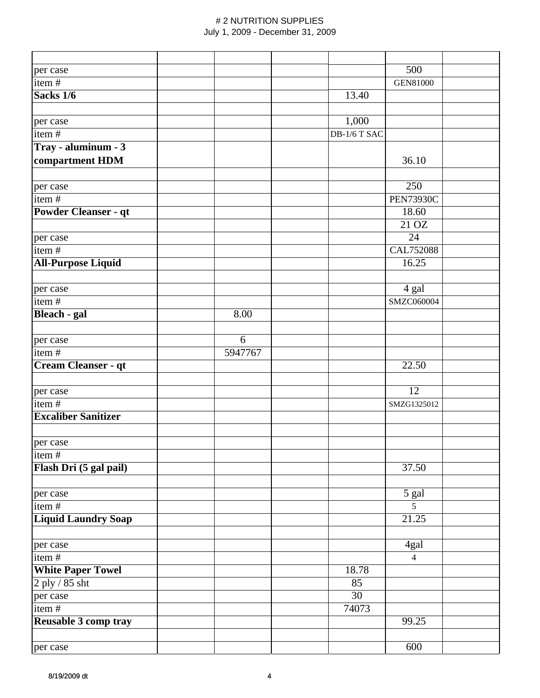| per case                    |         |                 | 500              |  |
|-----------------------------|---------|-----------------|------------------|--|
| item $\frac{1}{4}$          |         |                 | <b>GEN81000</b>  |  |
| Sacks 1/6                   |         | 13.40           |                  |  |
|                             |         |                 |                  |  |
| per case                    |         | 1,000           |                  |  |
| item#                       |         | DB-1/6 T SAC    |                  |  |
| Tray - aluminum - 3         |         |                 |                  |  |
| compartment HDM             |         |                 | 36.10            |  |
|                             |         |                 |                  |  |
| per case                    |         |                 | 250              |  |
| item $\frac{1}{4}$          |         |                 | <b>PEN73930C</b> |  |
| <b>Powder Cleanser - qt</b> |         |                 | 18.60            |  |
|                             |         |                 | 21 OZ            |  |
| per case                    |         |                 | 24               |  |
| item#                       |         |                 | <b>CAL752088</b> |  |
| <b>All-Purpose Liquid</b>   |         |                 | 16.25            |  |
|                             |         |                 |                  |  |
| per case                    |         |                 | 4 gal            |  |
| item#                       |         |                 | SMZC060004       |  |
| Bleach - gal                | 8.00    |                 |                  |  |
|                             |         |                 |                  |  |
| per case                    | 6       |                 |                  |  |
| item $\frac{1}{4}$          | 5947767 |                 |                  |  |
| Cream Cleanser - qt         |         |                 | 22.50            |  |
|                             |         |                 |                  |  |
| per case                    |         |                 | 12               |  |
| item#                       |         |                 | SMZG1325012      |  |
| <b>Excaliber Sanitizer</b>  |         |                 |                  |  |
|                             |         |                 |                  |  |
| per case                    |         |                 |                  |  |
| item#                       |         |                 |                  |  |
| Flash Dri (5 gal pail)      |         |                 | 37.50            |  |
| per case                    |         |                 | 5 gal            |  |
| item#                       |         |                 | $\overline{5}$   |  |
| <b>Liquid Laundry Soap</b>  |         |                 | 21.25            |  |
|                             |         |                 |                  |  |
| per case                    |         |                 | 4gal             |  |
| item $\frac{1}{t}$          |         |                 | $\overline{4}$   |  |
| <b>White Paper Towel</b>    |         | 18.78           |                  |  |
| $2$ ply $\sqrt{85}$ sht     |         | 85              |                  |  |
| per case                    |         | $\overline{30}$ |                  |  |
| item#                       |         | 74073           |                  |  |
| Reusable 3 comp tray        |         |                 | 99.25            |  |
|                             |         |                 |                  |  |
| per case                    |         |                 | 600              |  |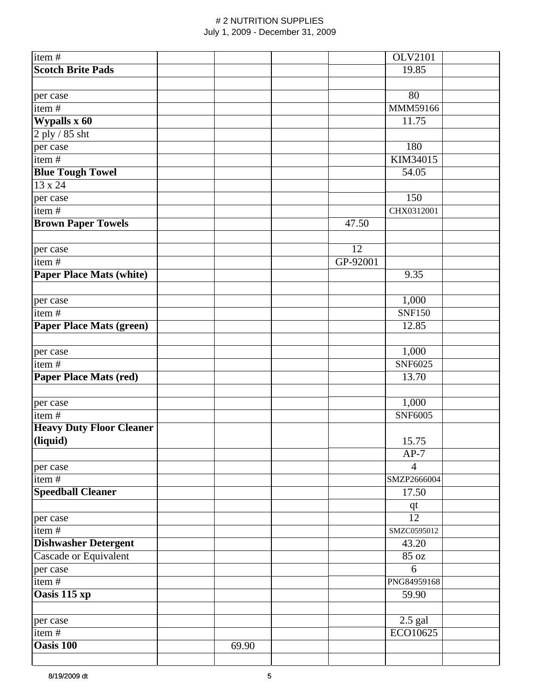| item#                           |       |          | <b>OLV2101</b> |
|---------------------------------|-------|----------|----------------|
| <b>Scotch Brite Pads</b>        |       |          | 19.85          |
|                                 |       |          |                |
| per case                        |       |          | 80             |
| item#                           |       |          | MMM59166       |
| Wypalls x 60                    |       |          | 11.75          |
| 2 ply / 85 sht                  |       |          |                |
| per case                        |       |          | 180            |
| item $\frac{1}{t}$              |       |          | KIM34015       |
|                                 |       |          | 54.05          |
| <b>Blue Tough Towel</b>         |       |          |                |
| 13 x 24                         |       |          |                |
| per case                        |       |          | 150            |
| item#                           |       |          | CHX0312001     |
| <b>Brown Paper Towels</b>       |       | 47.50    |                |
| per case                        |       | 12       |                |
| item#                           |       | GP-92001 |                |
| <b>Paper Place Mats (white)</b> |       |          | 9.35           |
|                                 |       |          |                |
| per case                        |       |          | 1,000          |
| item $\frac{1}{t}$              |       |          | <b>SNF150</b>  |
| <b>Paper Place Mats (green)</b> |       |          | 12.85          |
|                                 |       |          |                |
| per case                        |       |          | 1,000          |
| item $\frac{1}{4}$              |       |          | SNF6025        |
| <b>Paper Place Mats (red)</b>   |       |          | 13.70          |
|                                 |       |          |                |
| per case                        |       |          | 1,000          |
| item#                           |       |          | SNF6005        |
| <b>Heavy Duty Floor Cleaner</b> |       |          |                |
| (liquid)                        |       |          | 15.75          |
|                                 |       |          | $AP-7$         |
| per case                        |       |          | $\overline{4}$ |
| item#                           |       |          | SMZP2666004    |
| <b>Speedball Cleaner</b>        |       |          | 17.50          |
|                                 |       |          | qt             |
| per case                        |       |          | 12             |
| item#                           |       |          | SMZC0595012    |
| <b>Dishwasher Detergent</b>     |       |          | 43.20          |
| Cascade or Equivalent           |       |          | 85 oz          |
| per case                        |       |          | 6              |
| item#                           |       |          | PNG84959168    |
| Oasis 115 xp                    |       |          | 59.90          |
|                                 |       |          |                |
| per case                        |       |          | $2.5$ gal      |
| item#                           |       |          | ECO10625       |
| <b>Oasis 100</b>                | 69.90 |          |                |
|                                 |       |          |                |